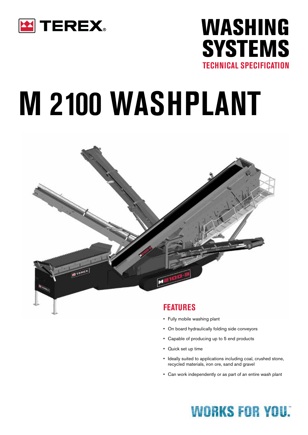

# WASHING **SYSTEMS TECHNICAL SPECIFICATION**

# **M 2100 WASHPLANT**



#### **FEATURES**

- Fully mobile washing plant
- On board hydraulically folding side conveyors
- Capable of producing up to 5 end products
- Quick set up time
- Ideally suited to applications including coal, crushed stone, recycled materials, iron ore, sand and gravel
- Can work independently or as part of an entire wash plant

## **WORKS FOR YOU:**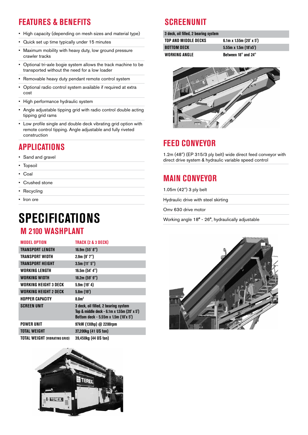## **FEATURES & BENEFITS**

- High capacity (depending on mesh sizes and material type)
- Quick set up time typically under 15 minutes
- Maximum mobility with heavy duty, low ground pressure crawler tracks
- Optional tri-axle bogie system allows the track machine to be transported without the need for a low loader
- Removable heavy duty pendant remote control system
- Optional radio control system available if required at extra cost
- High performance hydraulic system
- Angle adjustable tipping grid with radio control double acting tipping grid rams
- Low profile single and double deck vibrating grid option with remote control tipping. Angle adjustable and fully riveted construction

## **APPLICATIONS**

- Sand and gravel
- Topsoil
- Coal
- Crushed stone
- Recycling
- Iron ore

# **SPECIFICATIONS**

#### **M 2100 WASHPLANT**

| <b>MODEL OPTION</b>                  | TRACK (2 & 3 DECK)                                                                                                          |
|--------------------------------------|-----------------------------------------------------------------------------------------------------------------------------|
| <b>TRANSPORT LENGTH</b>              | 16.9m(55' 8")                                                                                                               |
| TRANSPORT WIDTH                      | 2.9m (9' 7")                                                                                                                |
| <b>TRANSPORT HEIGHT</b>              | 3.5m(11'5")                                                                                                                 |
| WORKING LENGTH                       | 16.5m (54' 4")                                                                                                              |
| WORKING WIDTH                        | 18.2m(59'9")                                                                                                                |
| WORKING HEIGHT 3 DECK                | 5.9m(19'4)                                                                                                                  |
| WORKING HEIGHT 2 DECK                | 5.8m(19')                                                                                                                   |
| <b>HOPPER CAPACITY</b>               | 8.0 <sup>m3</sup>                                                                                                           |
| <b>SCREEN UNIT</b>                   | 3 deck, oil filled, 2 bearing system<br>Top & middle deck - 6.1m x 1.55m (20' x 5')<br>Bottom deck - 5.55m x 1.5m (18'x 5') |
| <b>POWER UNIT</b>                    | 97kW (130hp) @ 2200rpm                                                                                                      |
| <b>TOTAL WEIGHT</b>                  | 37,200kg (41 US ton)                                                                                                        |
| <b>TOTAL WEIGHT (VIBRATING GRID)</b> | 39,450kg (44 US ton)                                                                                                        |



### **SCREENUNIT**

| 3 deck, oil filled, 2 bearing system |                                     |
|--------------------------------------|-------------------------------------|
| TOP AND MIDDLE DECKS                 | $6.1m \times 1.55m (20' \times 5')$ |
| <b>BOTTOM DECK</b>                   | $5.55m \times 1.5m (18'x5')$        |
| WORKING ANGLE                        | Between 18° and 24°                 |



#### **FEED CONVEYOR**

1.2m (48") (EP 315/3 ply belt) wide direct feed conveyor with direct drive system & hydraulic variable speed control

## **MAIN CONVEYOR**

1.05m (42") 3 ply belt

Hydraulic drive with steel skirting

Omv 630 drive motor

Working angle 18° - 26°, hydraulically adjustable

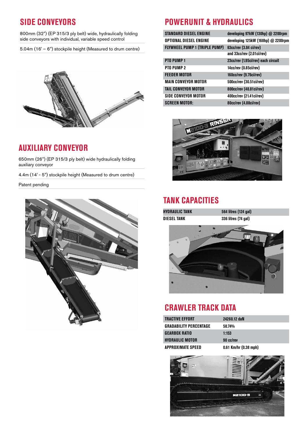#### **SIDE CONVEYORS**

800mm (32") (EP 315/3 ply belt) wide, hydraulically folding side conveyors with individual, variable speed control

5.04m (16' – 6") stockpile height (Measured to drum centre)



#### **AUXILIARY CONVEYOR**

650mm (26") (EP 315/3 ply belt) wide hydraulically folding auxiliary conveyor

4.4m (14' - 5") stockpile height (Measured to drum centre)

Patent pending



#### **POWERUNIT & HYDRAULICS**

| <b>STANDARD DIESEL ENGINE</b>        | developing 97kW (130hp) @ 2200rpm  |
|--------------------------------------|------------------------------------|
| OPTIONAL DIESEL ENGINE               | developing 125kW (168hp) @ 2200rpm |
| <b>FLYWHEEL PUMP 1 (TRIPLE PUMP)</b> | 63cc/rev (3.84 ci/rev)             |
|                                      | and 33cc/rev (2.01ci/rev)          |
| PTO PUMP <sub>1</sub>                | 23cc/rev (1.95ci/rev) each circuit |
| PTO PUMP 2                           | 14cc/rev (0.85ci/rev)              |
| <b>FEEDER MOTOR</b>                  | 160cc/rev (9.76ci/rev)             |
| MAIN CONVEYOR MOTOR                  | 500cc/rev (30.51ci/rev)            |
| <b>TAIL CONVEYOR MOTOR</b>           | 800cc/rev (48.81ci/rev)            |
| SIDE CONVEYOR MOTOR                  | 400cc/rev (21.41ci/rev)            |
| <b>SCREEN MOTOR:</b>                 | 80cc/rev (4.88ci/rev)              |



#### **TANK CAPACITIES**

**HYDRAULIC TANK 564 litres (124 gal)** 

**DIESEL TANK 336 litres (74 gal)**



#### **CRAWLER TRACK DATA**

| Tractive Effort        | 24260.12 daN              |
|------------------------|---------------------------|
| GRADABILITY PERCENTAGE | 58.74%                    |
| GEARBOX RATIO          | 1:153                     |
| HYDRAULIC MOTOR        | 90 cc/rev                 |
| APPROXIMATE SPEED      | $0.61$ Km/hr $(0.38$ mph) |
|                        |                           |

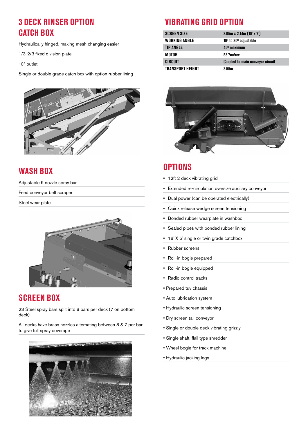#### **3 DECK RINSER OPTION CATCH BOX**

Hydraulically hinged, making mesh changing easier

1/3-2/3 fixed division plate

10" outlet

Single or double grade catch box with option rubber lining



#### **WASH BOX**

Adjustable 5 nozzle spray bar

Feed conveyor belt scraper

Steel wear plate



#### **SCREEN BOX**

23 Steel spray bars split into 8 bars per deck (7 on bottom deck)

All decks have brass nozzles alternating between 8 & 7 per bar to give full spray coverage



### **VIBRATING GRID OPTION**

| <b>SCREEN SIZE</b> | $3.05m \times 2.14m$ (10' x 7')         |
|--------------------|-----------------------------------------|
| WORKING ANGLE      | $100$ to 20 $0$ adjustable              |
| <b>TIP ANGLE</b>   | 45 <sup>0</sup> maximum                 |
| MOTOR              | 58.7cc/rev                              |
| CIRCUIT            | <b>Coupled to main conveyor circuit</b> |
| TRANSPORT HEIGHT   | 3.55m                                   |



#### **OPTIONS**

- 12ft 2 deck vibrating grid
- Extended re-circulation oversize auxiliary conveyor
- Dual power (can be operated electrically)
- Quick release wedge screen tensioning
- Bonded rubber wearplate in washbox
- Sealed pipes with bonded rubber lining
- 18' X 5' single or twin grade catchbox
- Rubber screens
- Roll-in bogie prepared
- Roll-in bogie equipped
- Radio control tracks
- Prepared tuv chassis
- Auto lubrication system
- Hydraulic screen tensioning
- Dry screen tail conveyor
- Single or double deck vibrating grizzly
- Single shaft, flail type shredder
- Wheel bogie for track machine
- Hydraulic jacking legs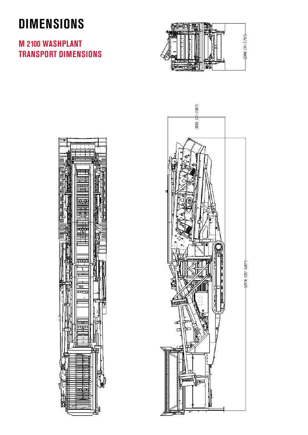# **DIMENSIONS**

#### **M 2100 WASHPLANT TRANSPORT DIMENSIONS**





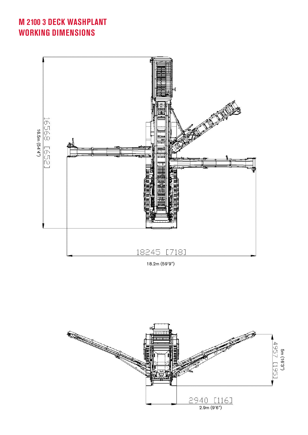### **M 2100 3 DECK WASHPLANT WORKING DIMENSIONS**





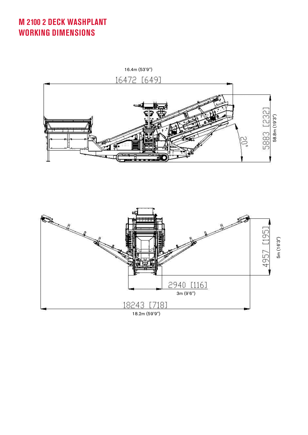**M 2100 2 DECK WASHPLANT WORKING DIMENSIONS**